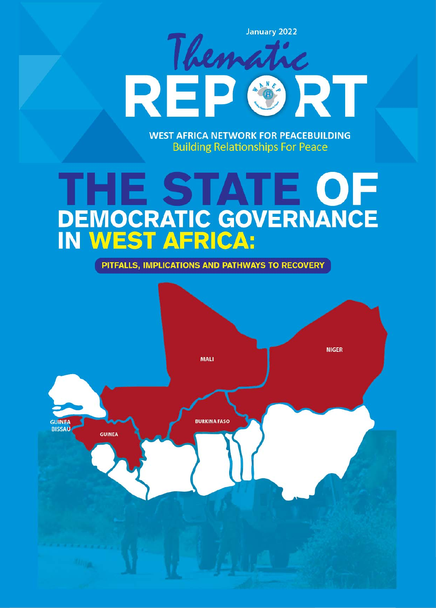Then RE RT

**January 2022** 

**WEST AFRICA NETWORK FOR PEACEBUILDING Building Relationships For Peace** 

# THE STATE OF **DEMOCRATIC GOVERNANCE**<br>IN WEST AFRICA:

PITFALLS, IMPLICATIONS AND PATHWAYS TO RECOVERY

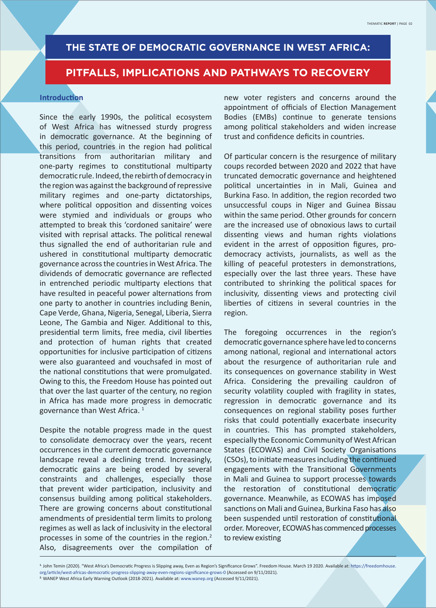# **THE STATE OF DEMOCRATIC GOVERNANCE IN WEST AFRICA:**

# **PITFALLS, IMPLICATIONS AND PATHWAYS TO RECOVERY**

#### **Introduction**

Since the early 1990s, the political ecosystem of West Africa has witnessed sturdy progress in democratic governance. At the beginning of this period, countries in the region had political transitions from authoritarian military and one-party regimes to constitutional multiparty democratic rule. Indeed, the rebirth of democracy in the region was against the background of repressive military regimes and one-party dictatorships, where political opposition and dissenting voices were stymied and individuals or groups who attempted to break this 'cordoned sanitaire' were visited with reprisal attacks. The political renewal thus signalled the end of authoritarian rule and ushered in constitutional multiparty democratic governance across the countries in West Africa. The dividends of democratic governance are reflected in entrenched periodic multiparty elections that have resulted in peaceful power alternations from one party to another in countries including Benin, Cape Verde, Ghana, Nigeria, Senegal, Liberia, Sierra Leone, The Gambia and Niger. Additional to this, presidential term limits, free media, civil liberties and protection of human rights that created opportunities for inclusive participation of citizens were also guaranteed and vouchsafed in most of the national constitutions that were promulgated. Owing to this, the Freedom House has pointed out that over the last quarter of the century, no region in Africa has made more progress in democratic governance than West Africa. 1

Despite the notable progress made in the quest to consolidate democracy over the years, recent occurrences in the current democratic governance landscape reveal a declining trend. Increasingly, democratic gains are being eroded by several constraints and challenges, especially those that prevent wider participation, inclusivity and consensus building among political stakeholders. There are growing concerns about constitutional amendments of presidential term limits to prolong regimes as well as lack of inclusivity in the electoral processes in some of the countries in the region.2 Also, disagreements over the compilation of new voter registers and concerns around the appointment of officials of Election Management Bodies (EMBs) continue to generate tensions among political stakeholders and widen increase trust and confidence deficits in countries.

Of particular concern is the resurgence of military coups recorded between 2020 and 2022 that have truncated democratic governance and heightened political uncertainties in in Mali, Guinea and Burkina Faso. In addition, the region recorded two unsuccessful coups in Niger and Guinea Bissau within the same period. Other grounds for concern are the increased use of obnoxious laws to curtail dissenting views and human rights violations evident in the arrest of opposition figures, prodemocracy activists, journalists, as well as the killing of peaceful protesters in demonstrations, especially over the last three years. These have contributed to shrinking the political spaces for inclusivity, dissenting views and protecting civil liberties of citizens in several countries in the region.

The foregoing occurrences in the region's democratic governance sphere have led to concerns among national, regional and international actors about the resurgence of authoritarian rule and its consequences on governance stability in West Africa. Considering the prevailing cauldron of security volatility coupled with fragility in states, regression in democratic governance and its consequences on regional stability poses further risks that could potentially exacerbate insecurity in countries. This has prompted stakeholders, especially the Economic Community of West African States (ECOWAS) and Civil Society Organisations (CSOs), to initiate measures including the continued engagements with the Transitional Governments in Mali and Guinea to support processes towards the restoration of constitutional democratic governance. Meanwhile, as ECOWAS has imposed sanctions on Mali and Guinea, Burkina Faso has also been suspended until restoration of constitutional order. Moreover, ECOWAS has commenced processes to review existing

<sup>&</sup>lt;sup>1.</sup> John Temin (2020). "West Africa's Democratic Progress is Slipping away, Even as Region's Significance Grows". Freedom House. March 19 2020. Available at: https://freedomhouse. org/article/west-africas-democratic-progress-slipping-away-even-regions-significance-grows-0 (Accessed on 9/11/2021). **2.** WANEP West Africa Early Warning Outlook (2018-2021). Available at: www.wanep.org (Accessed 9/11/2021).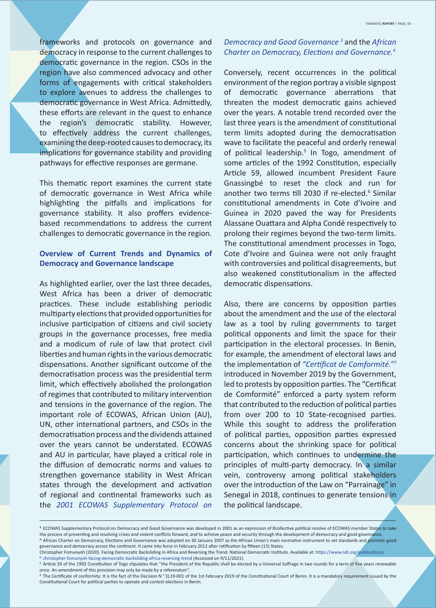frameworks and protocols on governance and democracy in response to the current challenges to democratic governance in the region. CSOs in the region have also commenced advocacy and other forms of engagements with critical stakeholders to explore avenues to address the challenges to democratic governance in West Africa. Admittedly, these efforts are relevant in the quest to enhance the region's democratic stability. However, to effectively address the current challenges, examining the deep-rooted causes to democracy, its implications for governance stability and providing pathways for effective responses are germane.

This thematic report examines the current state of democratic governance in West Africa while highlighting the pitfalls and implications for governance stability. It also proffers evidencebased recommendations to address the current challenges to democratic governance in the region.

# **Overview of Current Trends and Dynamics of Democracy and Governance landscape**

As highlighted earlier, over the last three decades, West Africa has been a driver of democratic practices. These include establishing periodic multiparty elections that provided opportunities for inclusive participation of citizens and civil society groups in the governance processes, free media and a modicum of rule of law that protect civil liberties and human rights in the various democratic dispensations. Another significant outcome of the democratisation process was the presidential term limit, which effectively abolished the prolongation of regimes that contributed to military intervention and tensions in the governance of the region. The important role of ECOWAS, African Union (AU), UN, other international partners, and CSOs in the democratisation process and the dividends attained over the years cannot be understated. ECOWAS and AU in particular, have played a critical role in the diffusion of democratic norms and values to strengthen governance stability in West African states through the development and activation of regional and continental frameworks such as the *2001 ECOWAS Supplementary Protocol on* 

# *Democracy and Good Governance 3* and the *African*  Charter on Democracy, Elections and Governance.<sup>4</sup>

Conversely, recent occurrences in the political environment of the region portray a visible signpost of democratic governance aberrations that threaten the modest democratic gains achieved over the years. A notable trend recorded over the last three years is the amendment of constitutional term limits adopted during the democratisation wave to facilitate the peaceful and orderly renewal of political leadership.<sup>5</sup> In Togo, amendment of some articles of the 1992 Constitution, especially Article 59, allowed incumbent President Faure Gnassingbé to reset the clock and run for another two terms till 2030 if re-elected.<sup>6</sup> Similar constitutional amendments in Cote d'Ivoire and Guinea in 2020 paved the way for Presidents Alassane Ouattara and Alpha Condé respectively to prolong their regimes beyond the two-term limits. The constitutional amendment processes in Togo, Cote d'Ivoire and Guinea were not only fraught with controversies and political disagreements, but also weakened constitutionalism in the affected democratic dispensations.

Also, there are concerns by opposition parties about the amendment and the use of the electoral law as a tool by ruling governments to target political opponents and limit the space for their participation in the electoral processes. In Benin, for example, the amendment of electoral laws and the implementation of "Certificat de Comformité."<sup>7</sup> introduced in November 2019 by the Government, led to protests by opposition parties. The "Certificat de Comformité" enforced a party system reform that contributed to the reduction of political parties from over 200 to 10 State-recognised parties. While this sought to address the proliferation of political parties, opposition parties expressed concerns about the shrinking space for political participation, which continues to undermine the principles of multi-party democracy. In a similar vein, controversy among political stakeholders over the introduction of the Law on "Parrainage" in Senegal in 2018, continues to generate tensions in the political landscape.

Christopher Fomunyoh (2020). Facing Democratic Backsliding in Africa and Reversing the Trend. National Democratic Institute. Available at: https://www.ndi.org/publications/ christopher-fomunyoh-facing-democratic-backsliding-africa-reversing-trend (Accessed on 9/11/2021).

<sup>&</sup>lt;sup>3.</sup> ECOWAS Supplementary Protocol on Democracy and Good Governance was developed in 2001 as an expression of *Bcollective political resolve of ECOWAS* member States to take the process of preventing and resolving crises and violent conflicts forward, and to achieve peace and security through the development of democracy and good governance. 4. African Charter on Democracy, Elections and Governance was adopted on 30 January 2007 as the African Union's main normative instrument to set standards and promote good governance and democracy across the continent. It came into force in February 2012 after ratification by fifteen (15) States.

<sup>&</sup>lt;sup>6</sup> Article 59 of the 1992 Constitution of Togo stipulates that "the President of the Republic shall be elected by a Universal Suffrage in two rounds for a term of five years renewable once. An amendment of this provision may only be made by a referendum"

The Certificate of conformity: It is the fact of the Decision N ° EL19-001 of the 1st February 2019 of the Constitutional Court of Benin. It is a mandatory requirement issued by the Constitutional Court for political parties to operate and contest elections in Benin.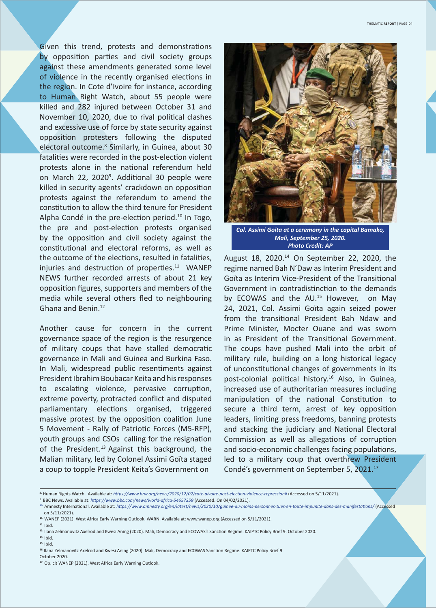Given this trend, protests and demonstrations by opposition parties and civil society groups against these amendments generated some level of violence in the recently organised elections in the region. In Cote d'Ivoire for instance, according to Human Right Watch, about 55 people were killed and 282 injured between October 31 and November 10, 2020, due to rival political clashes and excessive use of force by state security against opposition protesters following the disputed electoral outcome.8 Similarly, in Guinea, about 30 fatalities were recorded in the post-election violent protests alone in the national referendum held on March 22, 2020<sup>9</sup>. Additional 30 people were killed in security agents' crackdown on opposition protests against the referendum to amend the constitution to allow the third tenure for President Alpha Condé in the pre-election period. $10$  In Togo, the pre and post-election protests organised by the opposition and civil society against the constitutional and electoral reforms, as well as the outcome of the elections, resulted in fatalities, injuries and destruction of properties. $11$  WANEP NEWS further recorded arrests of about 21 key opposition figures, supporters and members of the media while several others fled to neighbouring Ghana and Benin.12

Another cause for concern in the current governance space of the region is the resurgence of military coups that have stalled democratic governance in Mali and Guinea and Burkina Faso. In Mali, widespread public resentiments against President Ibrahim Boubacar Keita and his responses to escalating violence, pervasive corruption, extreme poverty, protracted conflict and disputed parliamentary elections organised, triggered massive protest by the opposition coalition June 5 Movement - Rally of Patriotic Forces (M5-RFP), youth groups and CSOs calling for the resignation of the President.<sup>13</sup> Against this background, the Malian military, led by Colonel Assimi Goïta staged a coup to topple President Keita's Government on



*Col. Assimi Goita at a ceremony in the capital Bamako, Mali, September 25, 2020. Photo Credit: AP*

August 18, 2020.14 On September 22, 2020, the regime named Bah N'Daw as Interim President and Goïta as Interim Vice-President of the Transitional Government in contradistinction to the demands by ECOWAS and the AU.<sup>15</sup> However, on May 24, 2021, Col. Assimi Goïta again seized power from the transitional President Bah Ndaw and Prime Minister, Mocter Ouane and was sworn in as President of the Transitional Government. The coups have pushed Mali into the orbit of military rule, building on a long historical legacy of unconstitutional changes of governments in its post-colonial political history.<sup>16</sup> Also, in Guinea, increased use of authoritarian measures including manipulation of the national Constitution to secure a third term, arrest of key opposition leaders, limiting press freedoms, banning protests and stacking the judiciary and National Electoral Commission as well as allegations of corruption and socio-economic challenges facing populations, led to a military coup that overthrew President Condé's government on September 5, 2021.17

**14.** Ibid. **15.** Ibid.

October 2020.

**<sup>8.</sup>** Human Rights Watch. Available at: *hƩ ps://www.hrw.org/news/2020/12/02/cote-divoire-post-elecƟ on-violence-repression#* (Accessed on 5/11/2021).

<sup>&</sup>lt;sup>9.</sup> BBC News. Available at: https://www.bbc.com/news/world-africa-54657359 (Accessed. On 04/02/2021).

**<sup>10.</sup>** Amnesty InternaƟ onal. Available at: *hƩ ps://www.amnesty.org/en/latest/news/2020/10/guinee-au-moins-personnes-tues-en-toute-impunite-dans-des-manifestaƟ ons/* (Accessed on 5/11/2021).

**<sup>11.</sup>** WANEP (2021). West Africa Early Warning Outlook. WARN. Available at: www.wanep.org (Accessed on 5/11/2021).

**<sup>12.</sup>** Ibid.

<sup>13.</sup> Ilana Zelmanovitz Axelrod and Kwesi Aning (2020). Mali, Democracy and ECOWAS's Sanction Regime. KAIPTC Policy Brief 9. October 2020.

<sup>&</sup>lt;sup>16.</sup> Ilana Zelmanovitz Axelrod and Kwesi Aning (2020). Mali, Democracy and ECOWAS Sanction Regime. KAIPTC Policy Brief 9

**<sup>17.</sup>** Op. cit WANEP (2021). West Africa Early Warning Outlook.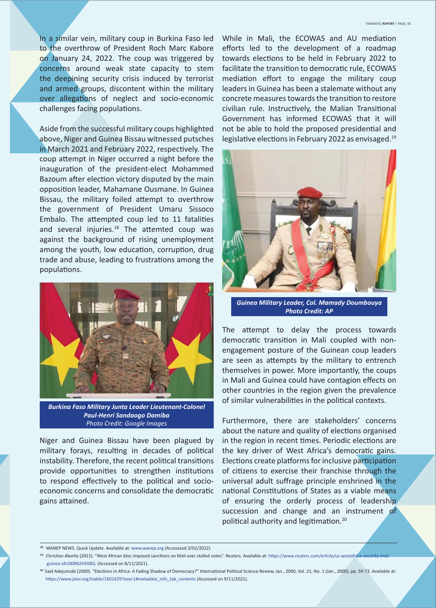In a similar vein, military coup in Burkina Faso led to the overthrow of President Roch Marc Kabore on January 24, 2022. The coup was triggered by concerns around weak state capacity to stem the deepining security crisis induced by terrorist and armed groups, discontent within the military over allegations of neglect and socio-economic challenges facing populations.

Aside from the successful military coups highlighted above, Niger and Guinea Bissau witnessed putsches in March 2021 and February 2022, respectively. The coup attempt in Niger occurred a night before the inauguration of the president-elect Mohammed Bazoum after election victory disputed by the main opposition leader, Mahamane Ousmane. In Guinea Bissau, the military foiled attempt to overthrow the government of President Umaru Sissoco Embalo. The attempted coup led to 11 fatalities and several injuries. $18$  The attemted coup was against the background of rising unemployment among the youth, low education, corruption, drug trade and abuse, leading to frustrations among the populations.



*Burkina Faso Military Junta Leader Lieutenant-Colonel Paul-Henri Sandaogo Damiba Photo Credit: Google Images*

Niger and Guinea Bissau have been plagued by military forays, resulting in decades of political instability. Therefore, the recent political transitions provide opportunities to strengthen institutions to respond effectively to the political and socioeconomic concerns and consolidate the democratic gains attained.

While in Mali, the ECOWAS and AU mediation efforts led to the development of a roadmap towards elections to be held in February 2022 to facilitate the transition to democratic rule, ECOWAS mediation effort to engage the military coup leaders in Guinea has been a stalemate without any concrete measures towards the transition to restore civilian rule. Instructively, the Malian Transitional Government has informed ECOWAS that it will not be able to hold the proposed presidential and legislative elections in February 2022 as envisaged. $19$ 



*Guinea Military Leader, Col. Mamady Doumbouya Photo Credit: AP*

The attempt to delay the process towards democratic transition in Mali coupled with nonengagement posture of the Guinean coup leaders are seen as attempts by the military to entrench themselves in power. More importantly, the coups in Mali and Guinea could have contagion effects on other countries in the region given the prevalence of similar vulnerabilities in the political contexts.

Furthermore, there are stakeholders' concerns about the nature and quality of elections organised in the region in recent times. Periodic elections are the key driver of West Africa's democratic gains. Elections create platforms for inclusive participation of citizens to exercise their franchise through the universal adult suffrage principle enshrined in the national Constitutions of States as a viable means of ensuring the orderly process of leadership succession and change and an instrument of political authority and legitimation.<sup>20</sup>

**<sup>18.</sup>** WANEP NEWS. Quick Update. Available at: www.wanep.org (Accesssed 3/02/2022).

<sup>&</sup>lt;sup>19.</sup> Christian Akorlie (2021). "West African bloc imposed sanctions on Mali over stalled votes". Reuters. Available at: https://www.reuters.com/article/us-westafrica-security-m guinea-idUSKBN2HS0BQ (Accessed on 8/11/2021).

<sup>&</sup>lt;sup>20.</sup> Said Adejumobi (2000). "Elections in Africa: A Fading Shadow of Democracy?" International Political Science Review, Jan., 2000, Vol. 21, No. 1 (Jan., 2000), pp. 59-73. Available at: https://www.jstor.org/stable/1601429?seq=1#metadata\_info\_tab\_contents (Accessed on 9/11/2021).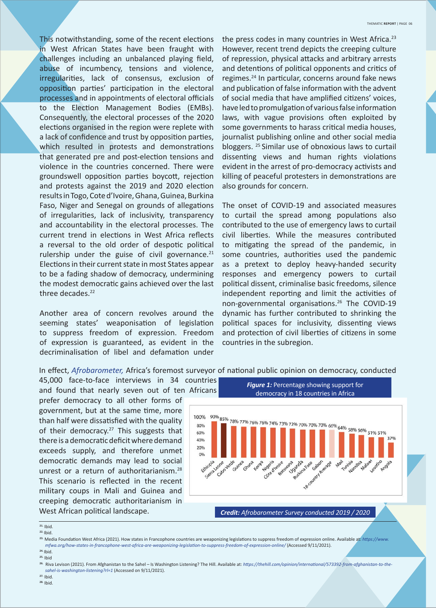This notwithstanding, some of the recent elections in West African States have been fraught with challenges including an unbalanced playing field, abuse of incumbency, tensions and violence, irregularities, lack of consensus, exclusion of opposition parties' participation in the electoral processes and in appointments of electoral officials to the Election Management Bodies (EMBs). Consequently, the electoral processes of the 2020 elections organised in the region were replete with a lack of confidence and trust by opposition parties, which resulted in protests and demonstrations that generated pre and post-election tensions and violence in the countries concerned. There were groundswell opposition parties boycott, rejection and protests against the 2019 and 2020 election results in Togo, Cote d'Ivoire, Ghana, Guinea, Burkina Faso, Niger and Senegal on grounds of allegations of irregularities, lack of inclusivity, transparency and accountability in the electoral processes. The current trend in elections in West Africa reflects a reversal to the old order of despotic political rulership under the guise of civil governance. $21$ Elections in their current state in most States appear to be a fading shadow of democracy, undermining the modest democratic gains achieved over the last three decades.<sup>22</sup>

Another area of concern revolves around the seeming states' weaponisation of legislation to suppress freedom of expression. Freedom of expression is guaranteed, as evident in the decriminalisation of libel and defamation under

the press codes in many countries in West Africa.<sup>23</sup> However, recent trend depicts the creeping culture of repression, physical attacks and arbitrary arrests and detentions of political opponents and critics of regimes.<sup>24</sup> In particular, concerns around fake news and publication of false information with the advent of social media that have amplified citizens' voices, have led to promulgation of various false information laws, with vague provisions often exploited by some governments to harass critical media houses, journalist publishing online and other social media bloggers. 25 Similar use of obnoxious laws to curtail dissenting views and human rights violations evident in the arrest of pro-democracy activists and killing of peaceful protesters in demonstrations are also grounds for concern.

The onset of COVID-19 and associated measures to curtail the spread among populations also contributed to the use of emergency laws to curtail civil liberties. While the measures contributed to mitigating the spread of the pandemic, in some countries, authorities used the pandemic as a pretext to deploy heavy-handed security responses and emergency powers to curtail political dissent, criminalise basic freedoms, silence independent reporting and limit the activities of non-governmental organisations.<sup>26</sup> The COVID-19 dynamic has further contributed to shrinking the political spaces for inclusivity, dissenting views and protection of civil liberties of citizens in some countries in the subregion.

In effect, *Afrobarometer*, Africa's foremost surveyor of national public opinion on democracy, conducted

45,000 face-to-face interviews in 34 countries and found that nearly seven out of ten Africans

prefer democracy to all other forms of government, but at the same time, more than half were dissatisfied with the quality of their democracy.<sup>27</sup> This suggests that there is a democratic deficit where demand exceeds supply, and therefore unmet democratic demands may lead to social unrest or a return of authoritarianism.<sup>28</sup> This scenario is reflected in the recent military coups in Mali and Guinea and creeping democratic authoritarianism in West African political landscape.



**22.** Ibid.

<sup>23.</sup> Media Foundation West Africa (2021). How states in Francophone countries are weaponizing legislations to suppress freedom of expression online. Available at: *https://www. mfwa.org/how-states-in-francophone-west-africa-are-weaponizing-legislaƟ on-to-suppress-freedom-of-expression-online/* (Accessed 9/11/2021).

**24.** Ibid. **25.** Ibid

<sup>26.</sup> Riva Levison (2021). From Afghanistan to the Sahel – Is Washington Listening? The Hill. Available at: *https://thehill.com/opinion/international/573392-from-afghanistan-to-the sahel-is-washington-listening?rl=1* (Accessed on 9/11/2021). **27.** Ibid.

**28.** Ibid.

**<sup>21.</sup>** Ibid.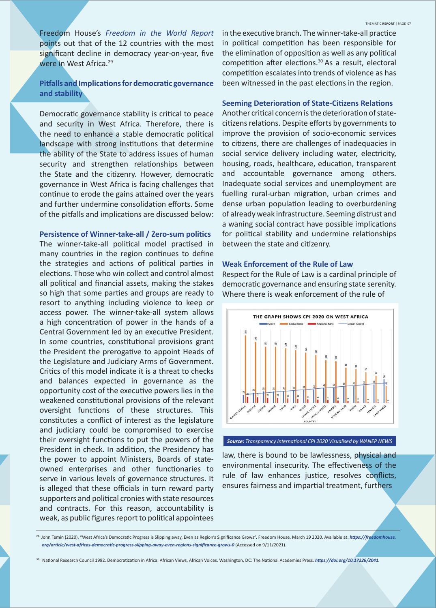Freedom House's *Freedom in the World Report* points out that of the 12 countries with the most significant decline in democracy year-on-year, five were in West Africa.29

# **Pitfalls and Implications for democratic governance and stability**

Democratic governance stability is critical to peace and security in West Africa. Therefore, there is the need to enhance a stable democratic political landscape with strong institutions that determine the ability of the State to address issues of human security and strengthen relationships between the State and the citizenry. However, democratic governance in West Africa is facing challenges that continue to erode the gains attained over the years and further undermine consolidation efforts. Some of the pitfalls and implications are discussed below:

#### **Persistence of Winner-take-all / Zero-sum politics**

The winner-take-all political model practised in many countries in the region continues to define the strategies and actions of political parties in elections. Those who win collect and control almost all political and financial assets, making the stakes so high that some parties and groups are ready to resort to anything including violence to keep or access power. The winner-take-all system allows a high concentration of power in the hands of a Central Government led by an executive President. In some countries, constitutional provisions grant the President the prerogative to appoint Heads of the Legislature and Judiciary Arms of Government. Critics of this model indicate it is a threat to checks and balances expected in governance as the opportunity cost of the executive powers lies in the weakened constitutional provisions of the relevant oversight functions of these structures. This constitutes a conflict of interest as the legislature and judiciary could be compromised to exercise their oversight functions to put the powers of the President in check. In addition, the Presidency has the power to appoint Ministers, Boards of stateowned enterprises and other functionaries to serve in various levels of governance structures. It is alleged that these officials in turn reward party supporters and political cronies with state resources and contracts. For this reason, accountability is weak, as public figures report to political appointees

in the executive branch. The winner-take-all practice in political competition has been responsible for the elimination of opposition as well as any political competition after elections. $30$  As a result, electoral competition escalates into trends of violence as has been witnessed in the past elections in the region.

#### **Seeming Deterioration of State-Citizens Relations**

Another critical concern is the deterioration of statecitizens relations. Despite efforts by governments to improve the provision of socio-economic services to citizens, there are challenges of inadequacies in social service delivery including water, electricity, housing, roads, healthcare, education, transparent and accountable governance among others. Inadequate social services and unemployment are fuelling rural-urban migration, urban crimes and dense urban population leading to overburdening of already weak infrastructure. Seeming distrust and a waning social contract have possible implications for political stability and undermine relationships between the state and citizenry.

#### **Weak Enforcement of the Rule of Law**

Respect for the Rule of Law is a cardinal principle of democratic governance and ensuring state serenity. Where there is weak enforcement of the rule of



*Source: Transparency InternaƟ onal CPI 2020 Visualised by WANEP NEWS*

law, there is bound to be lawlessness, physical and environmental insecurity. The effectiveness of the rule of law enhances justice, resolves conflicts, ensures fairness and impartial treatment, furthers

<sup>29.</sup> John Temin (2020). "West Africa's Democratic Progress is Slipping away, Even as Region's Significance Grows". Freedom House. March 19 2020. Available at: *https://freedomhouse. org/arƟ cle/west-africas-democraƟ c-progress-slipping-away-even-regions-signifi cance-grows-0* (Accessed on 9/11/2021).

<sup>30.</sup> National Research Council 1992. Democratization in Africa: African Views, African Voices. Washington, DC: The National Academies Press. https://doi.org/10.17226/2041.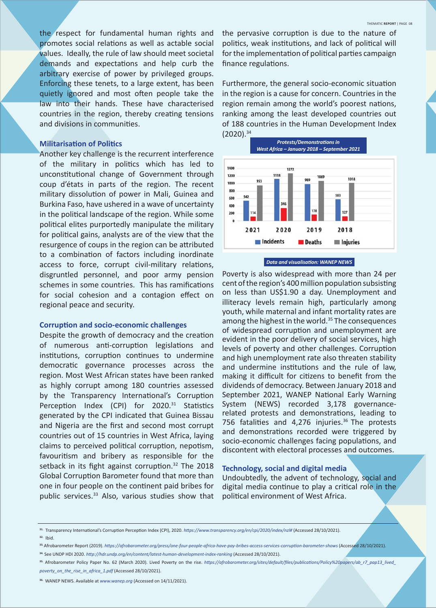the respect for fundamental human rights and promotes social relations as well as actable social values. Ideally, the rule of law should meet societal demands and expectations and help curb the arbitrary exercise of power by privileged groups. Enforcing these tenets, to a large extent, has been quietly ignored and most often people take the law into their hands. These have characterised countries in the region, thereby creating tensions and divisions in communities.

#### **Militarisation of Politics**

Another key challenge is the recurrent interference of the military in politics which has led to unconstitutional change of Government through coup d'états in parts of the region. The recent military dissolution of power in Mali, Guinea and Burkina Faso, have ushered in a wave of uncertainty in the political landscape of the region. While some political elites purportedly manipulate the military for political gains, analysts are of the view that the resurgence of coups in the region can be attributed to a combination of factors including inordinate access to force, corrupt civil-military relations, disgruntled personnel, and poor army pension schemes in some countries. This has ramifications for social cohesion and a contagion effect on regional peace and security.

#### **Corruption and socio-economic challenges**

Despite the growth of democracy and the creation of numerous anti-corruption legislations and institutions, corruption continues to undermine democratic governance processes across the region. Most West African states have been ranked as highly corrupt among 180 countries assessed by the Transparency International's Corruption Perception Index (CPI) for 2020.<sup>31</sup> Statistics generated by the CPI indicated that Guinea Bissau and Nigeria are the first and second most corrupt countries out of 15 countries in West Africa, laying claims to perceived political corruption, nepotism, favouritism and bribery as responsible for the setback in its fight against corruption.<sup>32</sup> The 2018 Global Corruption Barometer found that more than one in four people on the continent paid bribes for public services.<sup>33</sup> Also, various studies show that the pervasive corruption is due to the nature of politics, weak institutions, and lack of political will for the implementation of political parties campaign finance regulations.

Furthermore, the general socio-economic situation in the region is a cause for concern. Countries in the region remain among the world's poorest nations, ranking among the least developed countries out of 188 countries in the Human Development Index (2020).34





Poverty is also widespread with more than 24 per cent of the region's 400 million population subsisting on less than US\$1.90 a day. Unemployment and illiteracy levels remain high, particularly among youth, while maternal and infant mortality rates are among the highest in the world.<sup>35</sup> The consequences of widespread corruption and unemployment are evident in the poor delivery of social services, high levels of poverty and other challenges. Corruption and high unemployment rate also threaten stability and undermine institutions and the rule of law, making it difficult for citizens to benefit from the dividends of democracy. Between January 2018 and September 2021, WANEP National Early Warning System (NEWS) recorded 3,178 governancerelated protests and demonstrations, leading to 756 fatalities and 4,276 injuries. $36$  The protests and demonstrations recorded were triggered by socio-economic challenges facing populations, and discontent with electoral processes and outcomes.

#### **Technology, social and digital media**

Undoubtedly, the advent of technology, social and digital media continue to play a critical role in the political environment of West Africa.

**32.** Ibid.

<sup>&</sup>lt;sup>31.</sup> Transparency International's Corruption Perception Index (CPI), 2020. *https://www.transparency.org/en/cpi/2020/index/nzl#* (Accessed 28/10/2021).

<sup>33.</sup> Afrobarometer Report (2019). https://afrobarometer.org/press/one-four-people-africa-have-pay-bribes-access-services-corruption-barometer-shows (Accessed 28/10/2021).

**<sup>34.</sup>** See UNDP HDI 2020. *hƩ p://hdr.undp.org/en/content/latest-human-development-index-ranking* (Accessed 28/10/2021).

<sup>35.</sup> Afrobarometer Policy Paper No. 62 (March 2020). Lived Poverty on the rise. https://afrobarometer.org/sites/default/files/publications/Policy%20papers/ab\_r7\_pap13\_lived\_ *poverty\_on\_the\_rise\_in\_africa\_1.pdf* (Accessed 28/10/2021).

**<sup>36.</sup>** WANEP NEWS. Available at *www.wanep.org* (Accessed on 14/11/2021).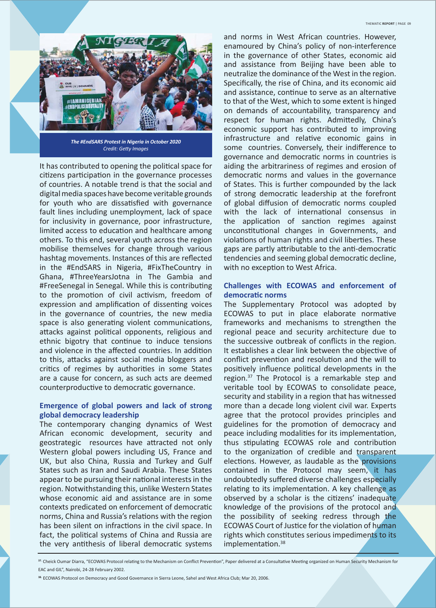

It has contributed to opening the political space for citizens participation in the governance processes of countries. A notable trend is that the social and digital media spaces have become veritable grounds for youth who are dissatisfied with governance fault lines including unemployment, lack of space for inclusivity in governance, poor infrastructure, limited access to education and healthcare among others. To this end, several youth across the region mobilise themselves for change through various hashtag movements. Instances of this are reflected in the #EndSARS in Nigeria, #FixTheCountry in Ghana, #ThreeYearsJotna in The Gambia and #FreeSenegal in Senegal. While this is contributing to the promotion of civil activism, freedom of expression and amplification of dissenting voices in the governance of countries, the new media space is also generating violent communications, attacks against political opponents, religious and ethnic bigotry that continue to induce tensions and violence in the affected countries. In addition to this, attacks against social media bloggers and critics of regimes by authorities in some States are a cause for concern, as such acts are deemed counterproductive to democratic governance.

#### **Emergence of global powers and lack of strong global democracy leadership**

The contemporary changing dynamics of West African economic development, security and geostrategic resources have attracted not only Western global powers including US, France and UK, but also China, Russia and Turkey and Gulf States such as Iran and Saudi Arabia. These States appear to be pursuing their national interests in the region. Notwithstanding this, unlike Western States whose economic aid and assistance are in some contexts predicated on enforcement of democratic norms, China and Russia's relations with the region has been silent on infractions in the civil space. In fact, the political systems of China and Russia are the very antithesis of liberal democratic systems

and norms in West African countries. However, enamoured by China's policy of non-interference in the governance of other States, economic aid and assistance from Beijing have been able to neutralize the dominance of the West in the region. Specifically, the rise of China, and its economic aid and assistance, continue to serve as an alternative to that of the West, which to some extent is hinged on demands of accountability, transparency and respect for human rights. Admittedly, China's economic support has contributed to improving infrastructure and relative economic gains in some countries. Conversely, their indifference to governance and democratic norms in countries is aiding the arbitrariness of regimes and erosion of democratic norms and values in the governance of States. This is further compounded by the lack of strong democratic leadership at the forefront of global diffusion of democratic norms coupled with the lack of international consensus in the application of sanction regimes against unconstitutional changes in Governments, and violations of human rights and civil liberties. These gaps are partly attributable to the anti-democratic tendencies and seeming global democratic decline, with no exception to West Africa.

#### **Challenges with ECOWAS and enforcement of democraƟ c norms**

The Supplementary Protocol was adopted by ECOWAS to put in place elaborate normative frameworks and mechanisms to strengthen the regional peace and security architecture due to the successive outbreak of conflicts in the region. It establishes a clear link between the objective of conflict prevention and resolution and the will to positively influence political developments in the region.<sup>37</sup> The Protocol is a remarkable step and veritable tool by ECOWAS to consolidate peace, security and stability in a region that has witnessed more than a decade long violent civil war. Experts agree that the protocol provides principles and guidelines for the promotion of democracy and peace including modalities for its implementation, thus stipulating ECOWAS role and contribution to the organization of credible and transparent elections. However, as laudable as the provisions contained in the Protocol may seem, it has undoubtedly suffered diverse challenges especially relating to its implementation. A key challenge as observed by a scholar is the citizens' inadequate knowledge of the provisions of the protocol and the possibility of seeking redress through the ECOWAS Court of Justice for the violation of human rights which constitutes serious impediments to its implementation.<sup>38</sup>

**38.** ECOWAS Protocol on Democracy and Good Governance in Sierra Leone, Sahel and West Africa Club; Mar 20, 2006.

<sup>37.</sup> Cheick Oumar Diarra, "ECOWAS Protocol relating to the Mechanism on Conflict Prevention", Paper delivered at a Consultative Meeting organized on Human Security Mechanism for EAC and GIL", Nairobi, 24-28 February 2002.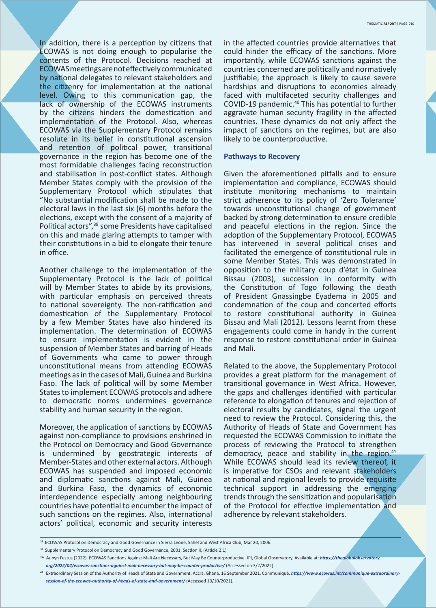In addition, there is a perception by citizens that ECOWAS is not doing enough to popularise the contents of the Protocol. Decisions reached at ECOWAS meetings are not effectively communicated by national delegates to relevant stakeholders and the citizenry for implementation at the national level. Owing to this communication gap, the lack of ownership of the ECOWAS instruments by the citizens hinders the domestication and implementation of the Protocol. Also, whereas ECOWAS via the Supplementary Protocol remains resolute in its belief in constitutional ascension and retention of political power, transitional governance in the region has become one of the most formidable challenges facing reconstruction and stabilisation in post-conflict states. Although Member States comply with the provision of the Supplementary Protocol which stipulates that "No substantial modification shall be made to the electoral laws in the last six (6) months before the elections, except with the consent of a majority of Political actors",<sup>39</sup> some Presidents have capitalised on this and made glaring attempts to tamper with their constitutions in a bid to elongate their tenure in office.

Another challenge to the implementation of the Supplementary Protocol is the lack of political will by Member States to abide by its provisions, with particular emphasis on perceived threats to national sovereignty. The non-ratification and domestication of the Supplementary Protocol by a few Member States have also hindered its implementation. The determination of ECOWAS to ensure implementation is evident in the suspension of Member States and barring of Heads of Governments who came to power through unconstitutional means from attending ECOWAS meetings as in the cases of Mali, Guinea and Burkina Faso. The lack of political will by some Member States to implement ECOWAS protocols and adhere to democratic norms undermines governance stability and human security in the region.

Moreover, the application of sanctions by ECOWAS against non-compliance to provisions enshrined in the Protocol on Democracy and Good Governance is undermined by geostrategic interests of Member-States and other external actors. Although ECOWAS has suspended and imposed economic and diplomatic sanctions against Mali, Guinea and Burkina Faso, the dynamics of economic interdependence especially among neighbouring countries have potential to encumber the impact of such sanctions on the regimes. Also, international actors' political, economic and security interests

in the affected countries provide alternatives that could hinder the efficacy of the sanctions. More importantly, while ECOWAS sanctions against the countries concerned are politically and normatively justifiable, the approach is likely to cause severe hardships and disruptions to economies already faced with multifaceted security challenges and COVID-19 pandemic.<sup>40</sup> This has potential to further aggravate human security fragility in the affected countries. These dynamics do not only affect the impact of sanctions on the regimes, but are also likely to be counterproductive.

#### **Pathways to Recovery**

Given the aforementioned pitfalls and to ensure implementation and compliance, ECOWAS should institute monitoring mechanisms to maintain strict adherence to its policy of 'Zero Tolerance' towards unconstitutional change of government backed by strong determination to ensure credible and peaceful elections in the region. Since the adoption of the Supplementary Protocol, ECOWAS has intervened in several political crises and facilitated the emergence of constitutional rule in some Member States. This was demonstrated in opposition to the military coup d'état in Guinea Bissau (2003), succession in conformity with the Constitution of Togo following the death of President Gnassingbe Eyadema in 2005 and condemnation of the coup and concerted efforts to restore constitutional authority in Guinea Bissau and Mali (2012). Lessons learnt from these engagements could come in handy in the current response to restore constitutional order in Guinea and Mali.

Related to the above, the Supplementary Protocol provides a great platform for the management of transitional governance in West Africa. However, the gaps and challenges identified with particular reference to elongation of tenures and rejection of electoral results by candidates, signal the urgent need to review the Protocol. Considering this, the Authority of Heads of State and Government has requested the ECOWAS Commission to initiate the process of reviewing the Protocol to strengthen democracy, peace and stability in the region.<sup>41</sup> While ECOWAS should lead its review thereof, it is imperative for CSOs and relevant stakeholders at national and regional levels to provide requisite technical support in addressing the emerging trends through the sensitization and popularisation of the Protocol for effective implementation and adherence by relevant stakeholders.

**<sup>38.</sup>** ECOWAS Protocol on Democracy and Good Governance in Sierra Leone, Sahel and West Africa Club; Mar 20, 2006.

<sup>39.</sup> Supplementary Protocol on Democracy and Good Governance, 2001, Section II, (Article 2:1)

<sup>40.</sup> Aubyn Festus (2022). ECOWAS Sanctions Against Mali Are Necessary, But May Be Counterproductive. IPI, Global Observatory. Available at: *https://theglobalobservatory. org/2022/02/ecowas-sancƟ ons-against-mali-necessary-but-may-be-counter-producƟ ve/* (Accessed on 3/2/2022).

<sup>41.</sup> Extraordinary Session of the Authority of Heads of State and Government, Accra, Ghana, 16 September 2021. Communiqué. https://www.ecowas.int/communique-extraordinary  *session-of-the-ecowas-authority-of-heads-of-state-and-government/* (Accessed 10/10/2021).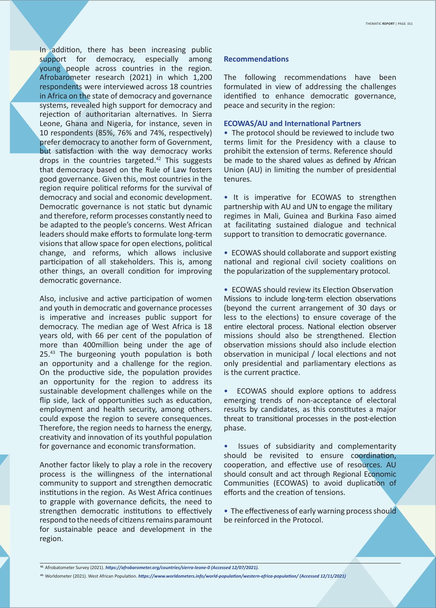In addition, there has been increasing public support for democracy, especially among young people across countries in the region. Afrobarometer research (2021) in which 1,200 respondents were interviewed across 18 countries in Africa on the state of democracy and governance systems, revealed high support for democracy and rejection of authoritarian alternatives. In Sierra Leone, Ghana and Nigeria, for instance, seven in 10 respondents (85%, 76% and 74%, respectively) prefer democracy to another form of Government, but satisfaction with the way democracy works drops in the countries targeted. $42$  This suggests that democracy based on the Rule of Law fosters good governance. Given this, most countries in the region require political reforms for the survival of democracy and social and economic development. Democratic governance is not static but dynamic and therefore, reform processes constantly need to be adapted to the people's concerns. West African leaders should make efforts to formulate long-term visions that allow space for open elections, political change, and reforms, which allows inclusive participation of all stakeholders. This is, among other things, an overall condition for improving democratic governance.

Also, inclusive and active participation of women and youth in democratic and governance processes is imperative and increases public support for democracy. The median age of West Africa is 18 years old, with 66 per cent of the population of more than 400million being under the age of  $25.^{43}$  The burgeoning youth population is both an opportunity and a challenge for the region. On the productive side, the population provides an opportunity for the region to address its sustainable development challenges while on the flip side, lack of opportunities such as education, employment and health security, among others. could expose the region to severe consequences. Therefore, the region needs to harness the energy, creativity and innovation of its youthful population for governance and economic transformation.

Another factor likely to play a role in the recovery process is the willingness of the international community to support and strengthen democratic institutions in the region. As West Africa continues to grapple with governance deficits, the need to strengthen democratic institutions to effectively respond to the needs of citizens remains paramount for sustainable peace and development in the region.

#### **RecommendaƟ ons**

The following recommendations have been formulated in view of addressing the challenges identified to enhance democratic governance, peace and security in the region:

#### **ECOWAS/AU and International Partners**

• The protocol should be reviewed to include two terms limit for the Presidency with a clause to prohibit the extension of terms. Reference should be made to the shared values as defined by African Union (AU) in limiting the number of presidential tenures.

• It is imperative for ECOWAS to strengthen partnership with AU and UN to engage the military regimes in Mali, Guinea and Burkina Faso aimed at facilitating sustained dialogue and technical support to transition to democratic governance.

• ECOWAS should collaborate and support existing national and regional civil society coalitions on the popularization of the supplementary protocol.

• ECOWAS should review its Election Observation Missions to include long-term election observations (beyond the current arrangement of 30 days or less to the elections) to ensure coverage of the entire electoral process. National election observer missions should also be strengthened. Election observation missions should also include election observation in municipal / local elections and not only presidential and parliamentary elections as is the current practice.

ECOWAS should explore options to address emerging trends of non-acceptance of electoral results by candidates, as this constitutes a major threat to transitional processes in the post-election phase.

Issues of subsidiarity and complementarity should be revisited to ensure coordination, cooperation, and effective use of resources. AU should consult and act through Regional Economic Communities (ECOWAS) to avoid duplication of efforts and the creation of tensions.

• The effectiveness of early warning process should be reinforced in the Protocol.

<sup>42.</sup> Afrobatometer Survey (2021). *https://afrobarometer.org/countries/sierra-leone-0 (Accessed 12/07/2021).* 

<sup>43.</sup> Worldometer (2021). West African Population. *https://www.worldometers.info/world-population/western-africa-population/ (Accessed 12/11/2021)*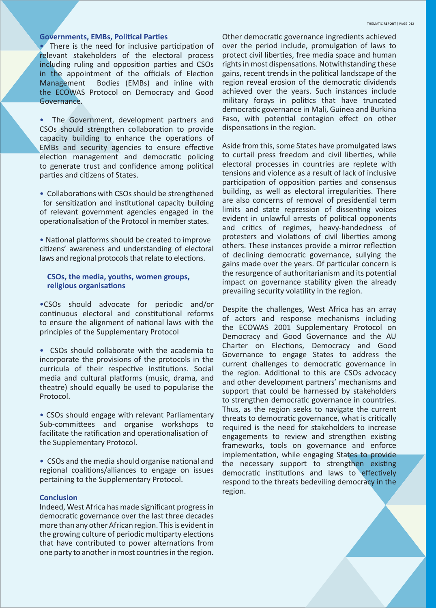#### **Governments, EMBs, Political Parties**

There is the need for inclusive participation of relevant stakeholders of the electoral process including ruling and opposition parties and CSOs in the appointment of the officials of Election Management Bodies (EMBs) and inline with the ECOWAS Protocol on Democracy and Good Governance.

The Government, development partners and CSOs should strengthen collaboration to provide capacity building to enhance the operations of EMBs and security agencies to ensure effective election management and democratic policing to generate trust and confidence among political parties and citizens of States.

• Collaborations with CSOs should be strengthened for sensitization and institutional capacity building of relevant government agencies engaged in the operationalisation of the Protocol in member states.

• National platforms should be created to improve citizens' awareness and understanding of electoral laws and regional protocols that relate to elections.

#### **CSOs, the media, youths, women groups, religious organisaƟ ons**

•CSOs should advocate for periodic and/or continuous electoral and constitutional reforms to ensure the alignment of national laws with the principles of the Supplementary Protocol

• CSOs should collaborate with the academia to incorporate the provisions of the protocols in the curricula of their respective institutions. Social media and cultural platforms (music, drama, and theatre) should equally be used to popularise the Protocol.

• CSOs should engage with relevant Parliamentary Sub-committees and organise workshops to facilitate the ratification and operationalisation of the Supplementary Protocol.

• CSOs and the media should organise national and regional coalitions/alliances to engage on issues pertaining to the Supplementary Protocol.

#### **Conclusion**

Indeed, West Africa has made significant progress in democratic governance over the last three decades more than any other African region. This is evident in the growing culture of periodic multiparty elections that have contributed to power alternations from one party to another in most countries in the region.

Other democratic governance ingredients achieved over the period include, promulgation of laws to protect civil liberties, free media space and human rights in most dispensations. Notwithstanding these gains, recent trends in the political landscape of the region reveal erosion of the democratic dividends achieved over the years. Such instances include military forays in politics that have truncated democratic governance in Mali, Guinea and Burkina Faso, with potential contagion effect on other dispensations in the region.

Aside from this, some States have promulgated laws to curtail press freedom and civil liberties, while electoral processes in countries are replete with tensions and violence as a result of lack of inclusive participation of opposition parties and consensus building, as well as electoral irregularities. There are also concerns of removal of presidential term limits and state repression of dissenting voices evident in unlawful arrests of political opponents and critics of regimes, heavy-handedness of protesters and violations of civil liberties among others. These instances provide a mirror reflection of declining democratic governance, sullying the gains made over the years. Of particular concern is the resurgence of authoritarianism and its potential impact on governance stability given the already prevailing security volatility in the region.

Despite the challenges, West Africa has an array of actors and response mechanisms including the ECOWAS 2001 Supplementary Protocol on Democracy and Good Governance and the AU Charter on Elections, Democracy and Good Governance to engage States to address the current challenges to democratic governance in the region. Additional to this are CSOs advocacy and other development partners' mechanisms and support that could be harnessed by stakeholders to strengthen democratic governance in countries. Thus, as the region seeks to navigate the current threats to democratic governance, what is critically required is the need for stakeholders to increase engagements to review and strengthen existing frameworks, tools on governance and enforce implementation, while engaging States to provide the necessary support to strengthen existing democratic institutions and laws to effectively respond to the threats bedeviling democracy in the region.